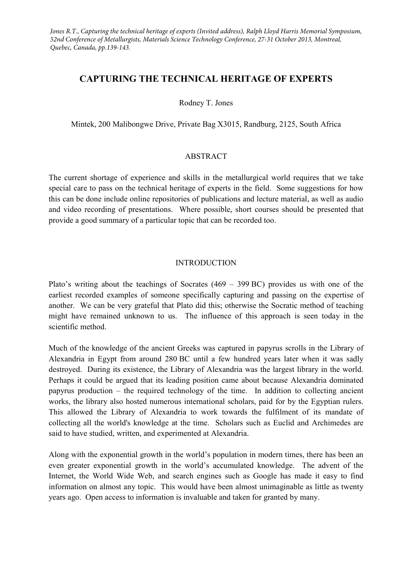Jones R.T., Capturing the technical heritage of experts (Invited address), Ralph Lloyd Harris Memorial Symposium, *52nd Conference of Metallurgists, Materials Science Technology Conference, 27-31 October 2013, Montreal, Quebec, Canada, pp.139-143.*

# **CAPTURING THE TECHNICAL HERITAGE OF EXPERTS**

#### Rodney T. Jones

Mintek, 200 Malibongwe Drive, Private Bag X3015, Randburg, 2125, South Africa

#### ABSTRACT

The current shortage of experience and skills in the metallurgical world requires that we take special care to pass on the technical heritage of experts in the field. Some suggestions for how this can be done include online repositories of publications and lecture material, as well as audio and video recording of presentations. Where possible, short courses should be presented that provide a good summary of a particular topic that can be recorded too.

#### INTRODUCTION

Plato's writing about the teachings of Socrates (469 – 399 BC) provides us with one of the earliest recorded examples of someone specifically capturing and passing on the expertise of another. We can be very grateful that Plato did this; otherwise the Socratic method of teaching might have remained unknown to us. The influence of this approach is seen today in the scientific method.

Much of the knowledge of the ancient Greeks was captured in papyrus scrolls in the Library of Alexandria in Egypt from around 280 BC until a few hundred years later when it was sadly destroyed. During its existence, the Library of Alexandria was the largest library in the world. Perhaps it could be argued that its leading position came about because Alexandria dominated papyrus production – the required technology of the time. In addition to collecting ancient works, the library also hosted numerous international scholars, paid for by the Egyptian rulers. This allowed the Library of Alexandria to work towards the fulfilment of its mandate of collecting all the world's knowledge at the time. Scholars such as Euclid and Archimedes are said to have studied, written, and experimented at Alexandria.

Along with the exponential growth in the world's population in modern times, there has been an even greater exponential growth in the world's accumulated knowledge. The advent of the Internet, the World Wide Web, and search engines such as Google has made it easy to find information on almost any topic. This would have been almost unimaginable as little as twenty years ago. Open access to information is invaluable and taken for granted by many.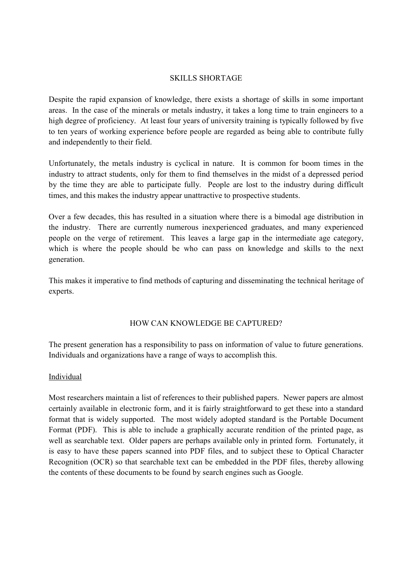#### SKILLS SHORTAGE

Despite the rapid expansion of knowledge, there exists a shortage of skills in some important areas. In the case of the minerals or metals industry, it takes a long time to train engineers to a high degree of proficiency. At least four years of university training is typically followed by five to ten years of working experience before people are regarded as being able to contribute fully and independently to their field.

Unfortunately, the metals industry is cyclical in nature. It is common for boom times in the industry to attract students, only for them to find themselves in the midst of a depressed period by the time they are able to participate fully. People are lost to the industry during difficult times, and this makes the industry appear unattractive to prospective students.

Over a few decades, this has resulted in a situation where there is a bimodal age distribution in the industry. There are currently numerous inexperienced graduates, and many experienced people on the verge of retirement. This leaves a large gap in the intermediate age category, which is where the people should be who can pass on knowledge and skills to the next generation.

This makes it imperative to find methods of capturing and disseminating the technical heritage of experts.

# HOW CAN KNOWLEDGE BE CAPTURED?

The present generation has a responsibility to pass on information of value to future generations. Individuals and organizations have a range of ways to accomplish this.

# Individual

Most researchers maintain a list of references to their published papers. Newer papers are almost certainly available in electronic form, and it is fairly straightforward to get these into a standard format that is widely supported. The most widely adopted standard is the Portable Document Format (PDF). This is able to include a graphically accurate rendition of the printed page, as well as searchable text. Older papers are perhaps available only in printed form. Fortunately, it is easy to have these papers scanned into PDF files, and to subject these to Optical Character Recognition (OCR) so that searchable text can be embedded in the PDF files, thereby allowing the contents of these documents to be found by search engines such as Google.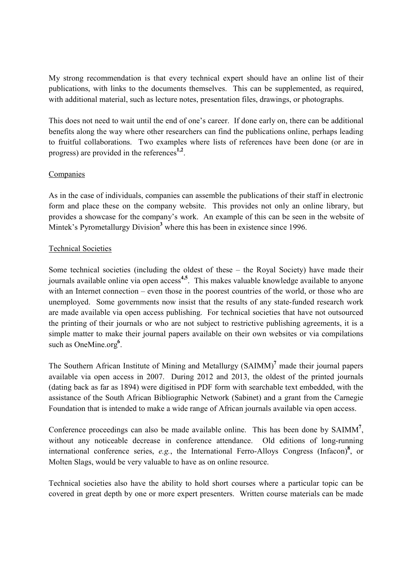My strong recommendation is that every technical expert should have an online list of their publications, with links to the documents themselves. This can be supplemented, as required, with additional material, such as lecture notes, presentation files, drawings, or photographs.

This does not need to wait until the end of one's career. If done early on, there can be additional benefits along the way where other researchers can find the publications online, perhaps leading to fruitful collaborations. Two examples where lists of references have been done (or are in progress) are provided in the references **1,2** .

# Companies

As in the case of individuals, companies can assemble the publications of their staff in electronic form and place these on the company website. This provides not only an online library, but provides a showcase for the company's work. An example of this can be seen in the website of Mintek's Pyrometallurgy Division<sup>3</sup> where this has been in existence since 1996.

#### Technical Societies

Some technical societies (including the oldest of these – the Royal Society) have made their journals available online via open access<sup>4,5</sup>. This makes valuable knowledge available to anyone with an Internet connection – even those in the poorest countries of the world, or those who are unemployed. Some governments now insist that the results of any state-funded research work are made available via open access publishing. For technical societies that have not outsourced the printing of their journals or who are not subject to restrictive publishing agreements, it is a simple matter to make their journal papers available on their own websites or via compilations such as OneMine.org<sup>6</sup>.

The Southern African Institute of Mining and Metallurgy (SAIMM)**<sup>7</sup>** made their journal papers available via open access in 2007. During 2012 and 2013, the oldest of the printed journals (dating back as far as 1894) were digitised in PDF form with searchable text embedded, with the assistance of the South African Bibliographic Network (Sabinet) and a grant from the Carnegie Foundation that is intended to make a wide range of African journals available via open access.

Conference proceedings can also be made available online. This has been done by SAIMM<sup>7</sup>, without any noticeable decrease in conference attendance. Old editions of long-running international conference series, *e.g.*, the International Ferro-Alloys Congress (Infacon)**<sup>8</sup>** , or Molten Slags, would be very valuable to have as on online resource.

Technical societies also have the ability to hold short courses where a particular topic can be covered in great depth by one or more expert presenters. Written course materials can be made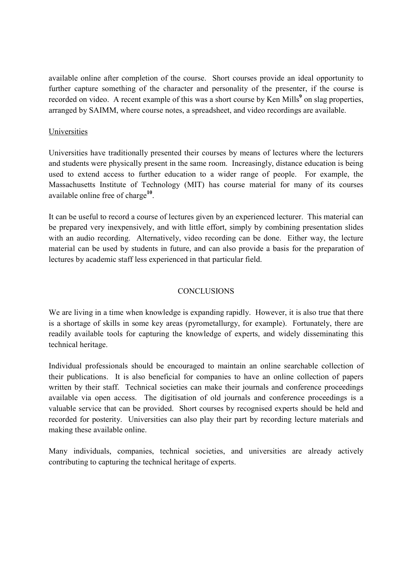available online after completion of the course. Short courses provide an ideal opportunity to further capture something of the character and personality of the presenter, if the course is recorded on video. A recent example of this was a short course by Ken Mills<sup>9</sup> on slag properties, arranged by SAIMM, where course notes, a spreadsheet, and video recordings are available.

### **Universities**

Universities have traditionally presented their courses by means of lectures where the lecturers and students were physically present in the same room. Increasingly, distance education is being used to extend access to further education to a wider range of people. For example, the Massachusetts Institute of Technology (MIT) has course material for many of its courses available online free of charge **10** .

It can be useful to record a course of lectures given by an experienced lecturer. This material can be prepared very inexpensively, and with little effort, simply by combining presentation slides with an audio recording. Alternatively, video recording can be done. Either way, the lecture material can be used by students in future, and can also provide a basis for the preparation of lectures by academic staff less experienced in that particular field.

# **CONCLUSIONS**

We are living in a time when knowledge is expanding rapidly. However, it is also true that there is a shortage of skills in some key areas (pyrometallurgy, for example). Fortunately, there are readily available tools for capturing the knowledge of experts, and widely disseminating this technical heritage.

Individual professionals should be encouraged to maintain an online searchable collection of their publications. It is also beneficial for companies to have an online collection of papers written by their staff. Technical societies can make their journals and conference proceedings available via open access. The digitisation of old journals and conference proceedings is a valuable service that can be provided. Short courses by recognised experts should be held and recorded for posterity. Universities can also play their part by recording lecture materials and making these available online.

Many individuals, companies, technical societies, and universities are already actively contributing to capturing the technical heritage of experts.